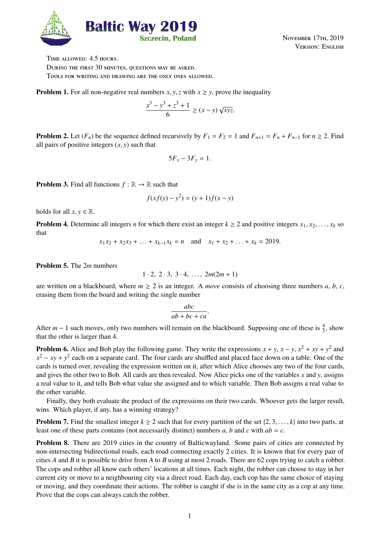

November 17th, 2019 Version: English

Time allowed: 4.5 hours. DURING THE FIRST 30 MINUTES, QUESTIONS MAY BE ASKED. Tools for writing and drawing are the only ones allowed.

**Problem 1.** For all non-negative real numbers *x*, *y*, *z* with  $x \geq y$ , prove the inequality

$$
\frac{x^3 - y^3 + z^3 + 1}{6} \ge (x - y) \sqrt{xyz}.
$$

**Problem 2.** Let  $(F_n)$  be the sequence defined recursively by  $F_1 = F_2 = 1$  and  $F_{n+1} = F_n + F_{n-1}$  for  $n \ge 2$ . Find all pairs of positive integers  $(x, y)$  such that

$$
5F_x-3F_y=1.
$$

**Problem 3.** Find all functions  $f : \mathbb{R} \to \mathbb{R}$  such that

$$
f(xf(y) - y^2) = (y + 1)f(x - y)
$$

holds for all  $x, y \in \mathbb{R}$ .

**Problem 4.** Determine all integers *n* for which there exist an integer  $k \ge 2$  and positive integers  $x_1, x_2, \ldots, x_k$  so that

$$
x_1x_2 + x_2x_3 + \ldots + x_{k-1}x_k = n
$$
 and  $x_1 + x_2 + \ldots + x_k = 2019$ .

Problem 5. The 2*m* numbers

$$
1 \cdot 2, \ 2 \cdot 3, \ 3 \cdot 4, \ \ldots, \ 2m(2m+1)
$$

are written on a blackboard, where  $m \geq 2$  is an integer. A *move* consists of choosing three numbers *a*, *b*, *c*, erasing them from the board and writing the single number

$$
\frac{abc}{ab+bc+ca}.
$$

After  $m-1$  such moves, only two numbers will remain on the blackboard. Supposing one of these is  $\frac{4}{3}$ , show that the other is larger than 4.

**Problem 6.** Alice and Bob play the following game. They write the expressions  $x + y$ ,  $x - y$ ,  $x^2 + xy + y^2$  and  $x^2 - xy + y^2$  each on a separate card. The four cards are shuffled and placed face down on a table. One of the cards is turned over, revealing the expression written on it, after which Alice chooses any two of the four cards, and gives the other two to Bob. All cards are then revealed. Now Alice picks one of the variables *x* and *y*, assigns a real value to it, and tells Bob what value she assigned and to which variable. Then Bob assigns a real value to the other variable.

Finally, they both evaluate the product of the expressions on their two cards. Whoever gets the larger result, wins. Which player, if any, has a winning strategy?

**Problem 7.** Find the smallest integer  $k \ge 2$  such that for every partition of the set  $\{2, 3, \ldots, k\}$  into two parts, at least one of these parts contains (not necessarily distinct) numbers *a*, *b* and *c* with *ab* = *c*.

Problem 8. There are 2019 cities in the country of Balticwayland. Some pairs of cities are connected by non-intersecting bidirectional roads, each road connecting exactly 2 cities. It is known that for every pair of cities *A* and *B* it is possible to drive from *A* to *B* using at most 2 roads. There are 62 cops trying to catch a robber. The cops and robber all know each others' locations at all times. Each night, the robber can choose to stay in her current city or move to a neighbouring city via a direct road. Each day, each cop has the same choice of staying or moving, and they coordinate their actions. The robber is caught if she is in the same city as a cop at any time. Prove that the cops can always catch the robber.